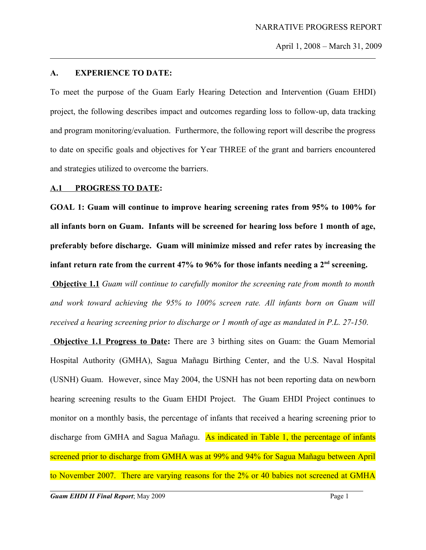#### **A. EXPERIENCE TO DATE:**

To meet the purpose of the Guam Early Hearing Detection and Intervention (Guam EHDI) project, the following describes impact and outcomes regarding loss to follow-up, data tracking and program monitoring/evaluation. Furthermore, the following report will describe the progress to date on specific goals and objectives for Year THREE of the grant and barriers encountered and strategies utilized to overcome the barriers.

#### **A.1 PROGRESS TO DATE:**

**GOAL 1: Guam will continue to improve hearing screening rates from 95% to 100% for all infants born on Guam. Infants will be screened for hearing loss before 1 month of age, preferably before discharge. Guam will minimize missed and refer rates by increasing the infant return rate from the current 47% to 96% for those infants needing a 2nd screening.**

 **Objective 1.1** *Guam will continue to carefully monitor the screening rate from month to month and work toward achieving the 95% to 100% screen rate. All infants born on Guam will received a hearing screening prior to discharge or 1 month of age as mandated in P.L. 27-150*.

**Objective 1.1 Progress to Date:** There are 3 birthing sites on Guam: the Guam Memorial Hospital Authority (GMHA), Sagua Mañagu Birthing Center, and the U.S. Naval Hospital (USNH) Guam. However, since May 2004, the USNH has not been reporting data on newborn hearing screening results to the Guam EHDI Project. The Guam EHDI Project continues to monitor on a monthly basis, the percentage of infants that received a hearing screening prior to discharge from GMHA and Sagua Mañagu. As indicated in Table 1, the percentage of infants screened prior to discharge from GMHA was at 99% and 94% for Sagua Mañagu between April to November 2007. There are varying reasons for the 2% or 40 babies not screened at GMHA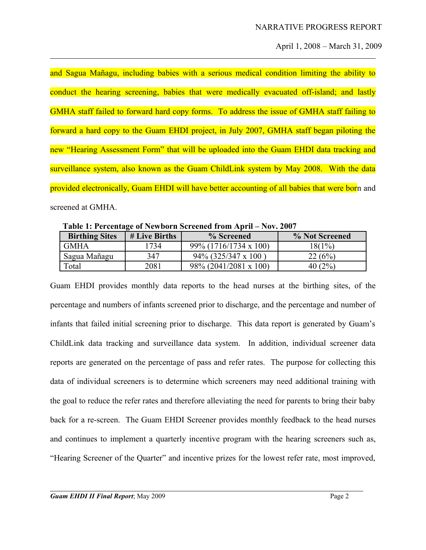and Sagua Mañagu, including babies with a serious medical condition limiting the ability to conduct the hearing screening, babies that were medically evacuated off-island; and lastly GMHA staff failed to forward hard copy forms. To address the issue of GMHA staff failing to forward a hard copy to the Guam EHDI project, in July 2007, GMHA staff began piloting the new "Hearing Assessment Form" that will be uploaded into the Guam EHDI data tracking and surveillance system, also known as the Guam ChildLink system by May 2008. With the data provided electronically, Guam EHDI will have better accounting of all babies that were born and screened at GMHA.

**Table 1: Percentage of Newborn Screened from April – Nov. 2007**

| <b>Birthing Sites</b> | # Live Births | % Screened                    | % Not Screened |
|-----------------------|---------------|-------------------------------|----------------|
| <b>GMHA</b>           | 734           | $99\%$ (1716/1734 x 100)      | 18(1%)         |
| Sagua Mañagu          | 347           | $94\%$ (325/347 x 100)        | 22 (6%)        |
| Total                 | 2081          | $98\% (2041/2081 \times 100)$ | $40(2\%$       |

Guam EHDI provides monthly data reports to the head nurses at the birthing sites, of the percentage and numbers of infants screened prior to discharge, and the percentage and number of infants that failed initial screening prior to discharge. This data report is generated by Guam's ChildLink data tracking and surveillance data system. In addition, individual screener data reports are generated on the percentage of pass and refer rates. The purpose for collecting this data of individual screeners is to determine which screeners may need additional training with the goal to reduce the refer rates and therefore alleviating the need for parents to bring their baby back for a re-screen. The Guam EHDI Screener provides monthly feedback to the head nurses and continues to implement a quarterly incentive program with the hearing screeners such as, "Hearing Screener of the Quarter" and incentive prizes for the lowest refer rate, most improved,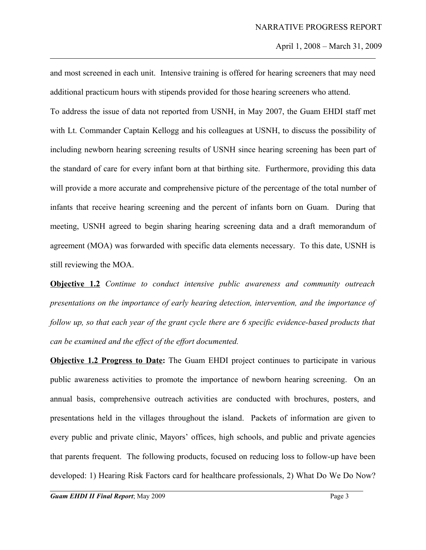and most screened in each unit. Intensive training is offered for hearing screeners that may need additional practicum hours with stipends provided for those hearing screeners who attend.

To address the issue of data not reported from USNH, in May 2007, the Guam EHDI staff met with Lt. Commander Captain Kellogg and his colleagues at USNH, to discuss the possibility of including newborn hearing screening results of USNH since hearing screening has been part of the standard of care for every infant born at that birthing site. Furthermore, providing this data will provide a more accurate and comprehensive picture of the percentage of the total number of infants that receive hearing screening and the percent of infants born on Guam. During that meeting, USNH agreed to begin sharing hearing screening data and a draft memorandum of agreement (MOA) was forwarded with specific data elements necessary. To this date, USNH is still reviewing the MOA.

**Objective 1.2** *Continue to conduct intensive public awareness and community outreach presentations on the importance of early hearing detection, intervention, and the importance of follow up, so that each year of the grant cycle there are 6 specific evidence-based products that can be examined and the effect of the effort documented.*

**Objective 1.2 Progress to Date:** The Guam EHDI project continues to participate in various public awareness activities to promote the importance of newborn hearing screening. On an annual basis, comprehensive outreach activities are conducted with brochures, posters, and presentations held in the villages throughout the island. Packets of information are given to every public and private clinic, Mayors' offices, high schools, and public and private agencies that parents frequent. The following products, focused on reducing loss to follow-up have been developed: 1) Hearing Risk Factors card for healthcare professionals, 2) What Do We Do Now?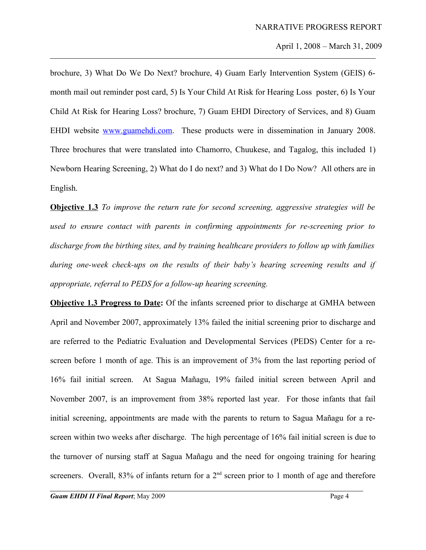brochure, 3) What Do We Do Next? brochure, 4) Guam Early Intervention System (GEIS) 6 month mail out reminder post card, 5) Is Your Child At Risk for Hearing Loss poster, 6) Is Your Child At Risk for Hearing Loss? brochure, 7) Guam EHDI Directory of Services, and 8) Guam EHDI website [www.guamehdi.com.](http://www.guamehdi.com/) These products were in dissemination in January 2008. Three brochures that were translated into Chamorro, Chuukese, and Tagalog, this included 1) Newborn Hearing Screening, 2) What do I do next? and 3) What do I Do Now? All others are in English.

**Objective 1.3** *To improve the return rate for second screening, aggressive strategies will be used to ensure contact with parents in confirming appointments for re-screening prior to discharge from the birthing sites, and by training healthcare providers to follow up with families during one-week check-ups on the results of their baby's hearing screening results and if appropriate, referral to PEDS for a follow-up hearing screening.* 

**Objective 1.3 Progress to Date:** Of the infants screened prior to discharge at GMHA between April and November 2007, approximately 13% failed the initial screening prior to discharge and are referred to the Pediatric Evaluation and Developmental Services (PEDS) Center for a rescreen before 1 month of age. This is an improvement of 3% from the last reporting period of 16% fail initial screen. At Sagua Mañagu, 19% failed initial screen between April and November 2007, is an improvement from 38% reported last year. For those infants that fail initial screening, appointments are made with the parents to return to Sagua Mañagu for a rescreen within two weeks after discharge. The high percentage of 16% fail initial screen is due to the turnover of nursing staff at Sagua Mañagu and the need for ongoing training for hearing screeners. Overall,  $83\%$  of infants return for a  $2<sup>nd</sup>$  screen prior to 1 month of age and therefore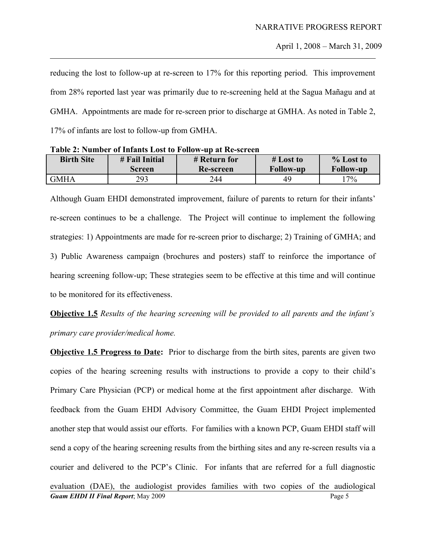reducing the lost to follow-up at re-screen to 17% for this reporting period. This improvement from 28% reported last year was primarily due to re-screening held at the Sagua Mañagu and at GMHA. Appointments are made for re-screen prior to discharge at GMHA. As noted in Table 2, 17% of infants are lost to follow-up from GMHA.

| <b>Birth Site</b> | # Fail Initial | # Return for | $#$ Lost to      | $%$ Lost to      |  |
|-------------------|----------------|--------------|------------------|------------------|--|
|                   | <b>Screen</b>  | Re-screen    | <b>Follow-up</b> | <b>Follow-up</b> |  |
| <b>GMHA</b>       | 293            | 244          | 49               | 17%              |  |

**Table 2: Number of Infants Lost to Follow-up at Re-screen**

Although Guam EHDI demonstrated improvement, failure of parents to return for their infants' re-screen continues to be a challenge. The Project will continue to implement the following strategies: 1) Appointments are made for re-screen prior to discharge; 2) Training of GMHA; and 3) Public Awareness campaign (brochures and posters) staff to reinforce the importance of hearing screening follow-up; These strategies seem to be effective at this time and will continue to be monitored for its effectiveness.

**Objective 1.5** *Results of the hearing screening will be provided to all parents and the infant's primary care provider/medical home.*

**Objective 1.5 Progress to Date:** Prior to discharge from the birth sites, parents are given two copies of the hearing screening results with instructions to provide a copy to their child's Primary Care Physician (PCP) or medical home at the first appointment after discharge. With feedback from the Guam EHDI Advisory Committee, the Guam EHDI Project implemented another step that would assist our efforts. For families with a known PCP, Guam EHDI staff will send a copy of the hearing screening results from the birthing sites and any re-screen results via a courier and delivered to the PCP's Clinic. For infants that are referred for a full diagnostic evaluation (DAE), the audiologist provides families with two copies of the audiological **Guam EHDI II Final Report**; May 2009 **Page 5**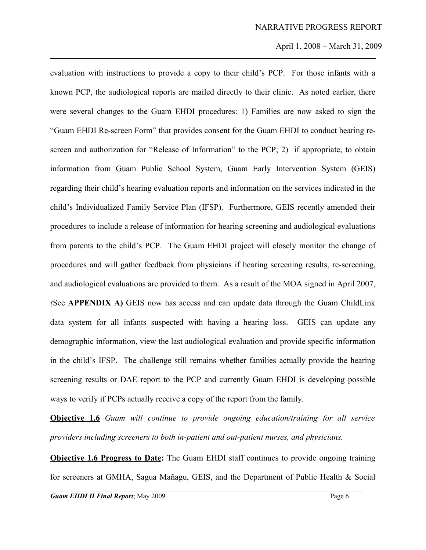evaluation with instructions to provide a copy to their child's PCP. For those infants with a known PCP, the audiological reports are mailed directly to their clinic. As noted earlier, there were several changes to the Guam EHDI procedures: 1) Families are now asked to sign the "Guam EHDI Re-screen Form" that provides consent for the Guam EHDI to conduct hearing rescreen and authorization for "Release of Information" to the PCP; 2) if appropriate, to obtain information from Guam Public School System, Guam Early Intervention System (GEIS) regarding their child's hearing evaluation reports and information on the services indicated in the child's Individualized Family Service Plan (IFSP). Furthermore, GEIS recently amended their procedures to include a release of information for hearing screening and audiological evaluations from parents to the child's PCP. The Guam EHDI project will closely monitor the change of procedures and will gather feedback from physicians if hearing screening results, re-screening, and audiological evaluations are provided to them. As a result of the MOA signed in April 2007, *(*See **APPENDIX A)** GEIS now has access and can update data through the Guam ChildLink data system for all infants suspected with having a hearing loss. GEIS can update any demographic information, view the last audiological evaluation and provide specific information in the child's IFSP. The challenge still remains whether families actually provide the hearing screening results or DAE report to the PCP and currently Guam EHDI is developing possible ways to verify if PCPs actually receive a copy of the report from the family.

**Objective 1.6** *Guam will continue to provide ongoing education/training for all service providers including screeners to both in-patient and out-patient nurses, and physicians.* 

**Objective 1.6 Progress to Date:** The Guam EHDI staff continues to provide ongoing training for screeners at GMHA, Sagua Mañagu, GEIS, and the Department of Public Health & Social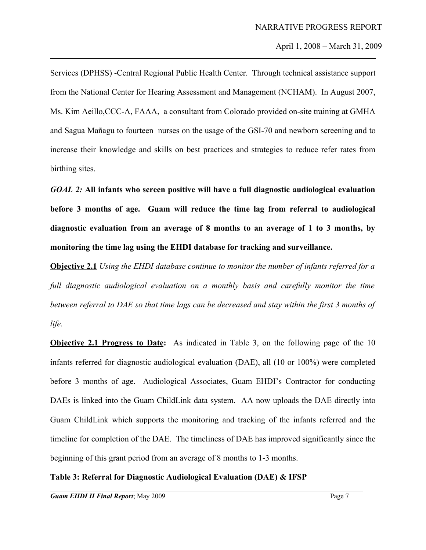Services (DPHSS) -Central Regional Public Health Center. Through technical assistance support from the National Center for Hearing Assessment and Management (NCHAM). In August 2007, Ms. Kim Aeillo,CCC-A, FAAA, a consultant from Colorado provided on-site training at GMHA and Sagua Mañagu to fourteen nurses on the usage of the GSI-70 and newborn screening and to increase their knowledge and skills on best practices and strategies to reduce refer rates from birthing sites.

*GOAL 2:* **All infants who screen positive will have a full diagnostic audiological evaluation before 3 months of age. Guam will reduce the time lag from referral to audiological diagnostic evaluation from an average of 8 months to an average of 1 to 3 months, by monitoring the time lag using the EHDI database for tracking and surveillance.**

**Objective 2.1** *Using the EHDI database continue to monitor the number of infants referred for a full diagnostic audiological evaluation on a monthly basis and carefully monitor the time between referral to DAE so that time lags can be decreased and stay within the first 3 months of life.*

**Objective 2.1 Progress to Date:** As indicated in Table 3, on the following page of the 10 infants referred for diagnostic audiological evaluation (DAE), all (10 or 100%) were completed before 3 months of age. Audiological Associates, Guam EHDI's Contractor for conducting DAEs is linked into the Guam ChildLink data system. AA now uploads the DAE directly into Guam ChildLink which supports the monitoring and tracking of the infants referred and the timeline for completion of the DAE. The timeliness of DAE has improved significantly since the beginning of this grant period from an average of 8 months to 1-3 months.

# **Table 3: Referral for Diagnostic Audiological Evaluation (DAE) & IFSP**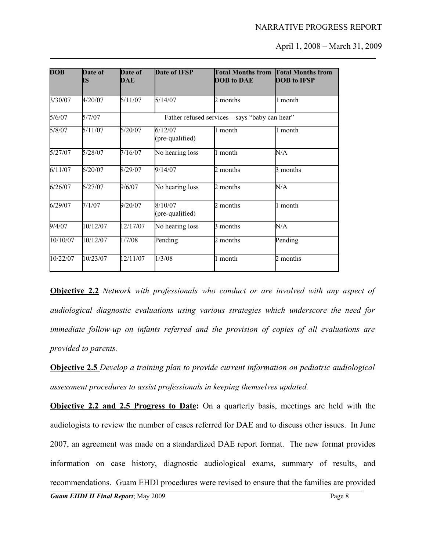| <b>DOB</b> | Date of<br>IS | Date of<br>DAE | Date of IFSP               | <b>Total Months from</b><br><b>DOB</b> to DAE  | <b>Total Months from</b><br><b>DOB</b> to IFSP |
|------------|---------------|----------------|----------------------------|------------------------------------------------|------------------------------------------------|
| 3/30/07    | 4/20/07       | 6/11/07        | 5/14/07                    | 2 months                                       | 1 month                                        |
| 5/6/07     | 5/7/07        |                |                            | Father refused services - says "baby can hear" |                                                |
| 5/8/07     | 5/11/07       | 6/20/07        | 6/12/07<br>(pre-qualified) | 1 month                                        | 1 month                                        |
| 5/27/07    | 5/28/07       | 7/16/07        | No hearing loss            | 1 month                                        | N/A                                            |
| 6/11/07    | 6/20/07       | 8/29/07        | 9/14/07                    | 2 months                                       | 3 months                                       |
| 6/26/07    | 6/27/07       | 9/6/07         | No hearing loss            | 2 months                                       | N/A                                            |
| 6/29/07    | 7/1/07        | 9/20/07        | 8/10/07<br>(pre-qualified) | 2 months                                       | 1 month                                        |
| 9/4/07     | 10/12/07      | 12/17/07       | No hearing loss            | 3 months                                       | N/A                                            |
| 10/10/07   | 10/12/07      | 1/7/08         | Pending                    | 2 months                                       | Pending                                        |
| 10/22/07   | 10/23/07      | 12/11/07       | 1/3/08                     | 1 month                                        | 2 months                                       |

**Objective 2.2** *Network with professionals who conduct or are involved with any aspect of audiological diagnostic evaluations using various strategies which underscore the need for immediate follow-up on infants referred and the provision of copies of all evaluations are provided to parents.* 

**Objective 2.5** *Develop a training plan to provide current information on pediatric audiological assessment procedures to assist professionals in keeping themselves updated.* 

**Objective 2.2 and 2.5 Progress to Date:** On a quarterly basis, meetings are held with the audiologists to review the number of cases referred for DAE and to discuss other issues. In June 2007, an agreement was made on a standardized DAE report format. The new format provides information on case history, diagnostic audiological exams, summary of results, and recommendations. Guam EHDI procedures were revised to ensure that the families are provided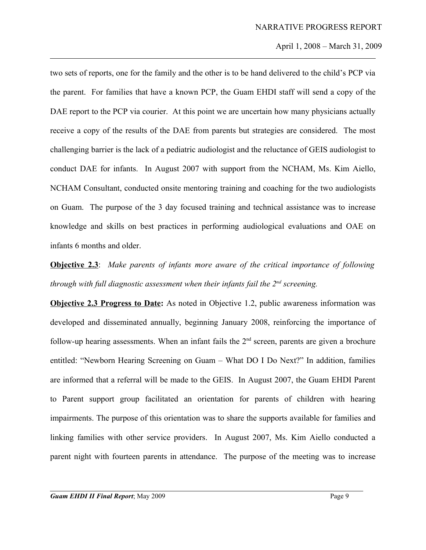two sets of reports, one for the family and the other is to be hand delivered to the child's PCP via the parent. For families that have a known PCP, the Guam EHDI staff will send a copy of the DAE report to the PCP via courier. At this point we are uncertain how many physicians actually receive a copy of the results of the DAE from parents but strategies are considered. The most challenging barrier is the lack of a pediatric audiologist and the reluctance of GEIS audiologist to conduct DAE for infants. In August 2007 with support from the NCHAM, Ms. Kim Aiello, NCHAM Consultant, conducted onsite mentoring training and coaching for the two audiologists on Guam. The purpose of the 3 day focused training and technical assistance was to increase knowledge and skills on best practices in performing audiological evaluations and OAE on infants 6 months and older*.*

**Objective 2.3**: *Make parents of infants more aware of the critical importance of following through with full diagnostic assessment when their infants fail the 2nd screening.* 

**Objective 2.3 Progress to Date:** As noted in Objective 1.2, public awareness information was developed and disseminated annually, beginning January 2008, reinforcing the importance of follow-up hearing assessments. When an infant fails the  $2<sup>nd</sup>$  screen, parents are given a brochure entitled: "Newborn Hearing Screening on Guam – What DO I Do Next?" In addition, families are informed that a referral will be made to the GEIS. In August 2007, the Guam EHDI Parent to Parent support group facilitated an orientation for parents of children with hearing impairments. The purpose of this orientation was to share the supports available for families and linking families with other service providers. In August 2007, Ms. Kim Aiello conducted a parent night with fourteen parents in attendance. The purpose of the meeting was to increase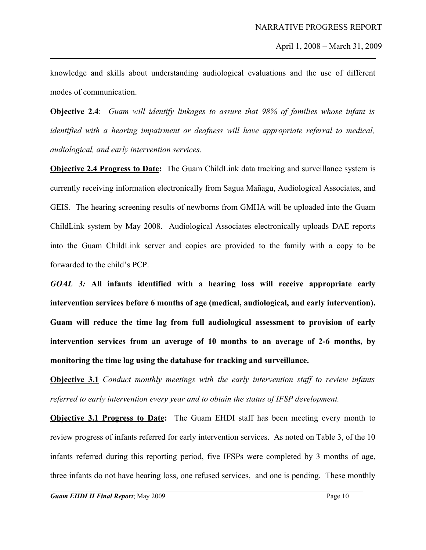knowledge and skills about understanding audiological evaluations and the use of different modes of communication.

**Objective 2.4**: *Guam will identify linkages to assure that 98% of families whose infant is identified with a hearing impairment or deafness will have appropriate referral to medical, audiological, and early intervention services.*

**Objective 2.4 Progress to Date:** The Guam ChildLink data tracking and surveillance system is currently receiving information electronically from Sagua Mañagu, Audiological Associates, and GEIS. The hearing screening results of newborns from GMHA will be uploaded into the Guam ChildLink system by May 2008. Audiological Associates electronically uploads DAE reports into the Guam ChildLink server and copies are provided to the family with a copy to be forwarded to the child's PCP.

*GOAL 3:* **All infants identified with a hearing loss will receive appropriate early intervention services before 6 months of age (medical, audiological, and early intervention). Guam will reduce the time lag from full audiological assessment to provision of early intervention services from an average of 10 months to an average of 2-6 months, by monitoring the time lag using the database for tracking and surveillance.**

**Objective 3.1** *Conduct monthly meetings with the early intervention staff to review infants referred to early intervention every year and to obtain the status of IFSP development.*

**Objective 3.1 Progress to Date:** The Guam EHDI staff has been meeting every month to review progress of infants referred for early intervention services. As noted on Table 3, of the 10 infants referred during this reporting period, five IFSPs were completed by 3 months of age, three infants do not have hearing loss, one refused services, and one is pending. These monthly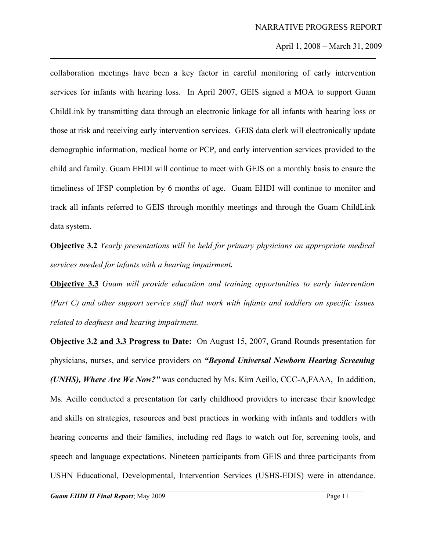collaboration meetings have been a key factor in careful monitoring of early intervention services for infants with hearing loss. In April 2007, GEIS signed a MOA to support Guam ChildLink by transmitting data through an electronic linkage for all infants with hearing loss or those at risk and receiving early intervention services. GEIS data clerk will electronically update demographic information, medical home or PCP, and early intervention services provided to the child and family. Guam EHDI will continue to meet with GEIS on a monthly basis to ensure the timeliness of IFSP completion by 6 months of age. Guam EHDI will continue to monitor and track all infants referred to GEIS through monthly meetings and through the Guam ChildLink data system.

**Objective 3.2** *Yearly presentations will be held for primary physicians on appropriate medical services needed for infants with a hearing impairment.* 

**Objective 3.3** *Guam will provide education and training opportunities to early intervention (Part C) and other support service staff that work with infants and toddlers on specific issues related to deafness and hearing impairment.*

**Objective 3.2 and 3.3 Progress to Date:** On August 15, 2007, Grand Rounds presentation for physicians, nurses, and service providers on *"Beyond Universal Newborn Hearing Screening (UNHS), Where Are We Now?"* was conducted by Ms. Kim Aeillo, CCC-A,FAAA, In addition, Ms. Aeillo conducted a presentation for early childhood providers to increase their knowledge and skills on strategies, resources and best practices in working with infants and toddlers with hearing concerns and their families, including red flags to watch out for, screening tools, and speech and language expectations. Nineteen participants from GEIS and three participants from USHN Educational, Developmental, Intervention Services (USHS-EDIS) were in attendance.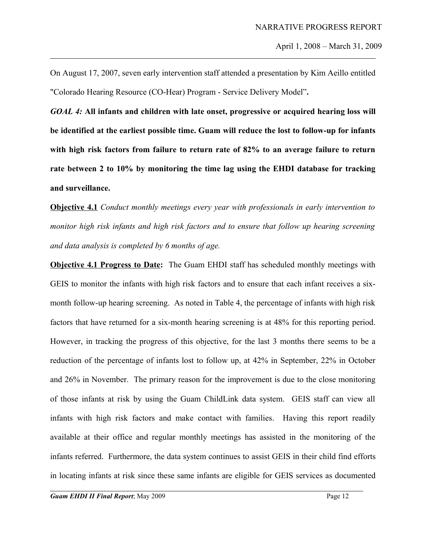On August 17, 2007, seven early intervention staff attended a presentation by Kim Aeillo entitled "Colorado Hearing Resource (CO-Hear) Program - Service Delivery Model"**.**

*GOAL 4:* **All infants and children with late onset, progressive or acquired hearing loss will be identified at the earliest possible time. Guam will reduce the lost to follow-up for infants with high risk factors from failure to return rate of 82% to an average failure to return rate between 2 to 10% by monitoring the time lag using the EHDI database for tracking and surveillance.** 

**Objective 4.1** *Conduct monthly meetings every year with professionals in early intervention to monitor high risk infants and high risk factors and to ensure that follow up hearing screening and data analysis is completed by 6 months of age.*

**Objective 4.1 Progress to Date:** The Guam EHDI staff has scheduled monthly meetings with GEIS to monitor the infants with high risk factors and to ensure that each infant receives a sixmonth follow-up hearing screening. As noted in Table 4, the percentage of infants with high risk factors that have returned for a six-month hearing screening is at 48% for this reporting period. However, in tracking the progress of this objective, for the last 3 months there seems to be a reduction of the percentage of infants lost to follow up, at 42% in September, 22% in October and 26% in November. The primary reason for the improvement is due to the close monitoring of those infants at risk by using the Guam ChildLink data system. GEIS staff can view all infants with high risk factors and make contact with families. Having this report readily available at their office and regular monthly meetings has assisted in the monitoring of the infants referred. Furthermore, the data system continues to assist GEIS in their child find efforts in locating infants at risk since these same infants are eligible for GEIS services as documented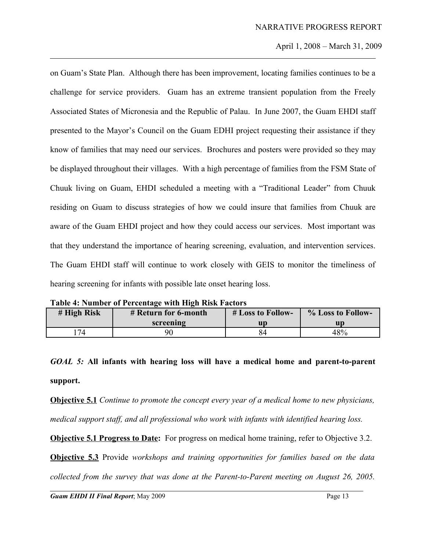on Guam's State Plan. Although there has been improvement, locating families continues to be a challenge for service providers. Guam has an extreme transient population from the Freely Associated States of Micronesia and the Republic of Palau. In June 2007, the Guam EHDI staff presented to the Mayor's Council on the Guam EDHI project requesting their assistance if they know of families that may need our services. Brochures and posters were provided so they may be displayed throughout their villages. With a high percentage of families from the FSM State of Chuuk living on Guam, EHDI scheduled a meeting with a "Traditional Leader" from Chuuk residing on Guam to discuss strategies of how we could insure that families from Chuuk are aware of the Guam EHDI project and how they could access our services. Most important was that they understand the importance of hearing screening, evaluation, and intervention services. The Guam EHDI staff will continue to work closely with GEIS to monitor the timeliness of hearing screening for infants with possible late onset hearing loss.

|  |  | Table 4: Number of Percentage with High Risk Factors |
|--|--|------------------------------------------------------|
|  |  |                                                      |

| # High Risk | # Return for 6-month | # Loss to Follow- | % Loss to Follow- |
|-------------|----------------------|-------------------|-------------------|
|             | screening            | ur                | un                |
| 74          |                      |                   | 48%               |

*GOAL 5:* **All infants with hearing loss will have a medical home and parent-to-parent support.** 

**Objective 5.1** *Continue to promote the concept every year of a medical home to new physicians, medical support staff, and all professional who work with infants with identified hearing loss.* 

**Objective 5.1 Progress to Date:** For progress on medical home training, refer to Objective 3.2.

**Objective 5.3** Provide *workshops and training opportunities for families based on the data*

*collected from the survey that was done at the Parent-to-Parent meeting on August 26, 2005.*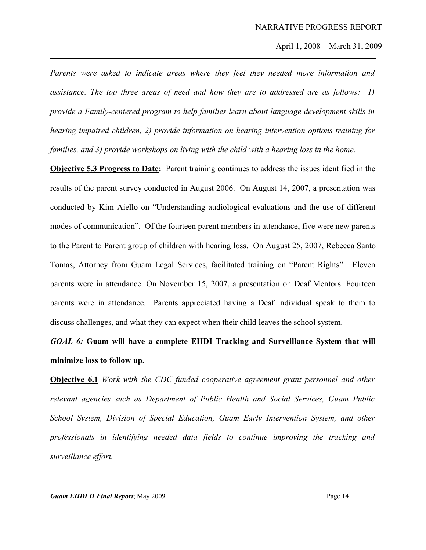*Parents were asked to indicate areas where they feel they needed more information and assistance. The top three areas of need and how they are to addressed are as follows: 1) provide a Family-centered program to help families learn about language development skills in hearing impaired children, 2) provide information on hearing intervention options training for families, and 3) provide workshops on living with the child with a hearing loss in the home.*

**Objective 5.3 Progress to Date:** Parent training continues to address the issues identified in the results of the parent survey conducted in August 2006. On August 14, 2007, a presentation was conducted by Kim Aiello on "Understanding audiological evaluations and the use of different modes of communication". Of the fourteen parent members in attendance, five were new parents to the Parent to Parent group of children with hearing loss. On August 25, 2007, Rebecca Santo Tomas, Attorney from Guam Legal Services, facilitated training on "Parent Rights". Eleven parents were in attendance. On November 15, 2007, a presentation on Deaf Mentors. Fourteen parents were in attendance. Parents appreciated having a Deaf individual speak to them to discuss challenges, and what they can expect when their child leaves the school system.

# *GOAL 6:* **Guam will have a complete EHDI Tracking and Surveillance System that will minimize loss to follow up.**

**Objective 6.1** *Work with the CDC funded cooperative agreement grant personnel and other relevant agencies such as Department of Public Health and Social Services, Guam Public School System, Division of Special Education, Guam Early Intervention System, and other professionals in identifying needed data fields to continue improving the tracking and surveillance effort.*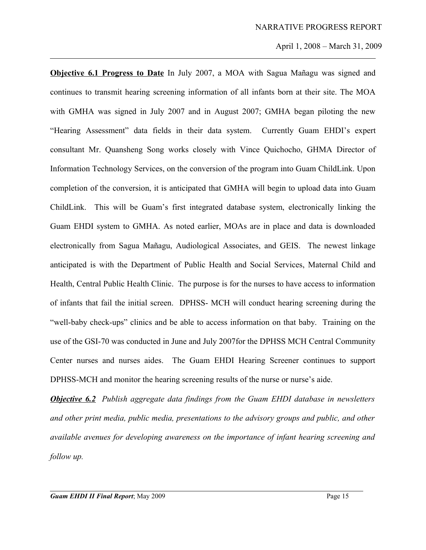**Objective 6.1 Progress to Date** In July 2007, a MOA with Sagua Mañagu was signed and continues to transmit hearing screening information of all infants born at their site. The MOA with GMHA was signed in July 2007 and in August 2007; GMHA began piloting the new "Hearing Assessment" data fields in their data system. Currently Guam EHDI's expert consultant Mr. Quansheng Song works closely with Vince Quichocho, GHMA Director of Information Technology Services, on the conversion of the program into Guam ChildLink. Upon completion of the conversion, it is anticipated that GMHA will begin to upload data into Guam ChildLink. This will be Guam's first integrated database system, electronically linking the Guam EHDI system to GMHA. As noted earlier, MOAs are in place and data is downloaded electronically from Sagua Mañagu, Audiological Associates, and GEIS. The newest linkage anticipated is with the Department of Public Health and Social Services, Maternal Child and Health, Central Public Health Clinic. The purpose is for the nurses to have access to information of infants that fail the initial screen. DPHSS- MCH will conduct hearing screening during the "well-baby check-ups" clinics and be able to access information on that baby. Training on the use of the GSI-70 was conducted in June and July 2007for the DPHSS MCH Central Community Center nurses and nurses aides. The Guam EHDI Hearing Screener continues to support DPHSS-MCH and monitor the hearing screening results of the nurse or nurse's aide.

*Objective 6.2 Publish aggregate data findings from the Guam EHDI database in newsletters and other print media, public media, presentations to the advisory groups and public, and other available avenues for developing awareness on the importance of infant hearing screening and follow up.*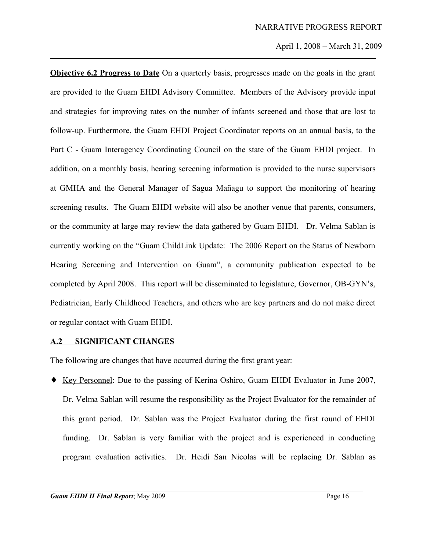**Objective 6.2 Progress to Date** On a quarterly basis, progresses made on the goals in the grant are provided to the Guam EHDI Advisory Committee. Members of the Advisory provide input and strategies for improving rates on the number of infants screened and those that are lost to follow-up. Furthermore, the Guam EHDI Project Coordinator reports on an annual basis, to the Part C - Guam Interagency Coordinating Council on the state of the Guam EHDI project. In addition, on a monthly basis, hearing screening information is provided to the nurse supervisors at GMHA and the General Manager of Sagua Mañagu to support the monitoring of hearing screening results. The Guam EHDI website will also be another venue that parents, consumers, or the community at large may review the data gathered by Guam EHDI. Dr. Velma Sablan is currently working on the "Guam ChildLink Update: The 2006 Report on the Status of Newborn Hearing Screening and Intervention on Guam", a community publication expected to be completed by April 2008. This report will be disseminated to legislature, Governor, OB-GYN's, Pediatrician, Early Childhood Teachers, and others who are key partners and do not make direct or regular contact with Guam EHDI.

# **A.2 SIGNIFICANT CHANGES**

The following are changes that have occurred during the first grant year:

♦ Key Personnel: Due to the passing of Kerina Oshiro, Guam EHDI Evaluator in June 2007, Dr. Velma Sablan will resume the responsibility as the Project Evaluator for the remainder of this grant period. Dr. Sablan was the Project Evaluator during the first round of EHDI funding. Dr. Sablan is very familiar with the project and is experienced in conducting program evaluation activities. Dr. Heidi San Nicolas will be replacing Dr. Sablan as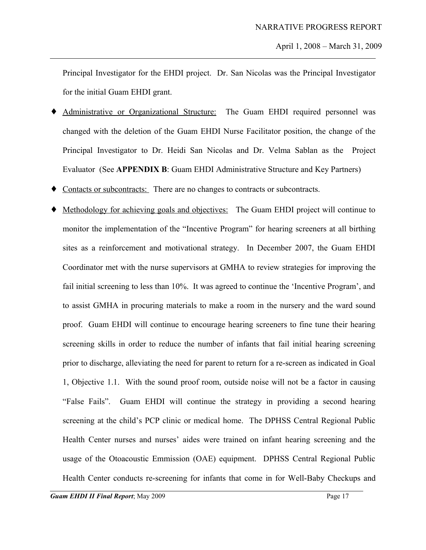Principal Investigator for the EHDI project. Dr. San Nicolas was the Principal Investigator for the initial Guam EHDI grant.

- Administrative or Organizational Structure: The Guam EHDI required personnel was changed with the deletion of the Guam EHDI Nurse Facilitator position, the change of the Principal Investigator to Dr. Heidi San Nicolas and Dr. Velma Sablan as the Project Evaluator (See **APPENDIX B**: Guam EHDI Administrative Structure and Key Partners)
- ♦ Contacts or subcontracts: There are no changes to contracts or subcontracts.
- Methodology for achieving goals and objectives: The Guam EHDI project will continue to monitor the implementation of the "Incentive Program" for hearing screeners at all birthing sites as a reinforcement and motivational strategy. In December 2007, the Guam EHDI Coordinator met with the nurse supervisors at GMHA to review strategies for improving the fail initial screening to less than 10%. It was agreed to continue the 'Incentive Program', and to assist GMHA in procuring materials to make a room in the nursery and the ward sound proof. Guam EHDI will continue to encourage hearing screeners to fine tune their hearing screening skills in order to reduce the number of infants that fail initial hearing screening prior to discharge, alleviating the need for parent to return for a re-screen as indicated in Goal 1, Objective 1.1. With the sound proof room, outside noise will not be a factor in causing "False Fails". Guam EHDI will continue the strategy in providing a second hearing screening at the child's PCP clinic or medical home. The DPHSS Central Regional Public Health Center nurses and nurses' aides were trained on infant hearing screening and the usage of the Otoacoustic Emmission (OAE) equipment. DPHSS Central Regional Public Health Center conducts re-screening for infants that come in for Well-Baby Checkups and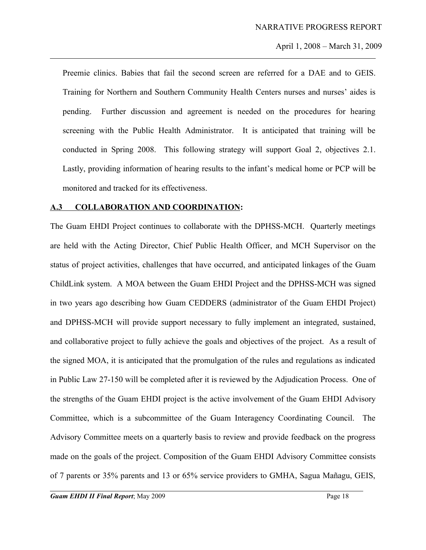Preemie clinics. Babies that fail the second screen are referred for a DAE and to GEIS. Training for Northern and Southern Community Health Centers nurses and nurses' aides is pending. Further discussion and agreement is needed on the procedures for hearing screening with the Public Health Administrator. It is anticipated that training will be conducted in Spring 2008. This following strategy will support Goal 2, objectives 2.1. Lastly, providing information of hearing results to the infant's medical home or PCP will be monitored and tracked for its effectiveness.

#### **A.3 COLLABORATION AND COORDINATION:**

The Guam EHDI Project continues to collaborate with the DPHSS-MCH. Quarterly meetings are held with the Acting Director, Chief Public Health Officer, and MCH Supervisor on the status of project activities, challenges that have occurred, and anticipated linkages of the Guam ChildLink system. A MOA between the Guam EHDI Project and the DPHSS-MCH was signed in two years ago describing how Guam CEDDERS (administrator of the Guam EHDI Project) and DPHSS-MCH will provide support necessary to fully implement an integrated, sustained, and collaborative project to fully achieve the goals and objectives of the project. As a result of the signed MOA, it is anticipated that the promulgation of the rules and regulations as indicated in Public Law 27-150 will be completed after it is reviewed by the Adjudication Process. One of the strengths of the Guam EHDI project is the active involvement of the Guam EHDI Advisory Committee, which is a subcommittee of the Guam Interagency Coordinating Council. The Advisory Committee meets on a quarterly basis to review and provide feedback on the progress made on the goals of the project. Composition of the Guam EHDI Advisory Committee consists of 7 parents or 35% parents and 13 or 65% service providers to GMHA, Sagua Mañagu, GEIS,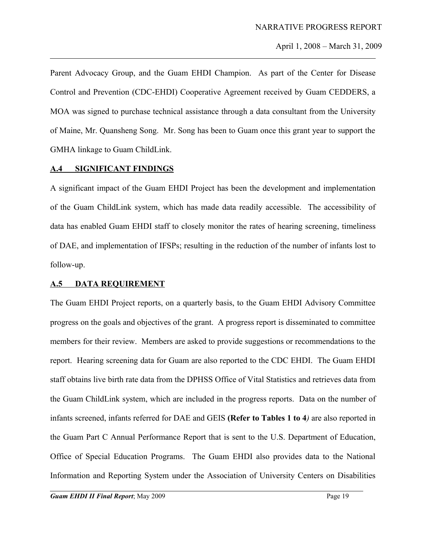Parent Advocacy Group, and the Guam EHDI Champion. As part of the Center for Disease Control and Prevention (CDC-EHDI) Cooperative Agreement received by Guam CEDDERS, a MOA was signed to purchase technical assistance through a data consultant from the University of Maine, Mr. Quansheng Song. Mr. Song has been to Guam once this grant year to support the GMHA linkage to Guam ChildLink.

### **A.4 SIGNIFICANT FINDINGS**

A significant impact of the Guam EHDI Project has been the development and implementation of the Guam ChildLink system, which has made data readily accessible. The accessibility of data has enabled Guam EHDI staff to closely monitor the rates of hearing screening, timeliness of DAE, and implementation of IFSPs; resulting in the reduction of the number of infants lost to follow-up.

#### **A.5 DATA REQUIREMENT**

The Guam EHDI Project reports, on a quarterly basis, to the Guam EHDI Advisory Committee progress on the goals and objectives of the grant. A progress report is disseminated to committee members for their review. Members are asked to provide suggestions or recommendations to the report. Hearing screening data for Guam are also reported to the CDC EHDI. The Guam EHDI staff obtains live birth rate data from the DPHSS Office of Vital Statistics and retrieves data from the Guam ChildLink system, which are included in the progress reports. Data on the number of infants screened, infants referred for DAE and GEIS **(Refer to Tables 1 to 4***)* are also reported in the Guam Part C Annual Performance Report that is sent to the U.S. Department of Education, Office of Special Education Programs. The Guam EHDI also provides data to the National Information and Reporting System under the Association of University Centers on Disabilities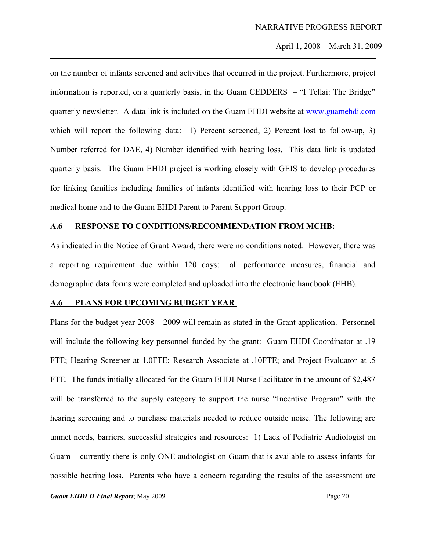on the number of infants screened and activities that occurred in the project. Furthermore, project information is reported, on a quarterly basis, in the Guam CEDDERS – "I Tellai: The Bridge" quarterly newsletter. A data link is included on the Guam EHDI website at [www.guamehdi.com](http://www.guamehdi.com/) which will report the following data: 1) Percent screened, 2) Percent lost to follow-up, 3) Number referred for DAE, 4) Number identified with hearing loss. This data link is updated quarterly basis. The Guam EHDI project is working closely with GEIS to develop procedures for linking families including families of infants identified with hearing loss to their PCP or medical home and to the Guam EHDI Parent to Parent Support Group.

# **A.6 RESPONSE TO CONDITIONS/RECOMMENDATION FROM MCHB:**

As indicated in the Notice of Grant Award, there were no conditions noted. However, there was a reporting requirement due within 120 days: all performance measures, financial and demographic data forms were completed and uploaded into the electronic handbook (EHB).

# **A.6 PLANS FOR UPCOMING BUDGET YEAR**

Plans for the budget year 2008 – 2009 will remain as stated in the Grant application. Personnel will include the following key personnel funded by the grant: Guam EHDI Coordinator at .19 FTE; Hearing Screener at 1.0FTE; Research Associate at .10FTE; and Project Evaluator at .5 FTE. The funds initially allocated for the Guam EHDI Nurse Facilitator in the amount of \$2,487 will be transferred to the supply category to support the nurse "Incentive Program" with the hearing screening and to purchase materials needed to reduce outside noise. The following are unmet needs, barriers, successful strategies and resources: 1) Lack of Pediatric Audiologist on Guam – currently there is only ONE audiologist on Guam that is available to assess infants for possible hearing loss. Parents who have a concern regarding the results of the assessment are